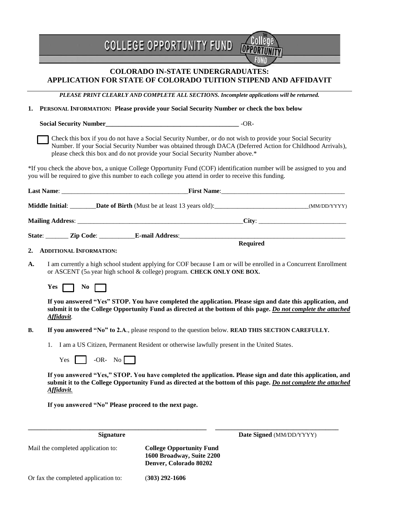|                                      | <b>COLLEGE OPPORTUNITY FUND</b>                                                                       |                                                                                                                                                                                                                               |
|--------------------------------------|-------------------------------------------------------------------------------------------------------|-------------------------------------------------------------------------------------------------------------------------------------------------------------------------------------------------------------------------------|
|                                      | <b>COLORADO IN-STATE UNDERGRADUATES:</b>                                                              | APPLICATION FOR STATE OF COLORADO TUITION STIPEND AND AFFIDAVIT                                                                                                                                                               |
|                                      |                                                                                                       | PLEASE PRINT CLEARLY AND COMPLETE ALL SECTIONS. Incomplete applications will be returned.                                                                                                                                     |
| 1.                                   |                                                                                                       | PERSONAL INFORMATION: Please provide your Social Security Number or check the box below                                                                                                                                       |
|                                      |                                                                                                       |                                                                                                                                                                                                                               |
|                                      | please check this box and do not provide your Social Security Number above.*                          | Check this box if you do not have a Social Security Number, or do not wish to provide your Social Security<br>Number. If your Social Security Number was obtained through DACA (Deferred Action for Childhood Arrivals),      |
|                                      | you will be required to give this number to each college you attend in order to receive this funding. | *If you check the above box, a unique College Opportunity Fund (COF) identification number will be assigned to you and                                                                                                        |
|                                      |                                                                                                       |                                                                                                                                                                                                                               |
|                                      |                                                                                                       | Middle Initial: ________Date of Birth (Must be at least 13 years old): ___________________________________(MM/DD/YYYY)                                                                                                        |
|                                      |                                                                                                       |                                                                                                                                                                                                                               |
|                                      |                                                                                                       |                                                                                                                                                                                                                               |
| <b>ADDITIONAL INFORMATION:</b><br>2. |                                                                                                       | <b>Required</b>                                                                                                                                                                                                               |
| A.                                   | or ASCENT (5th year high school & college) program. CHECK ONLY ONE BOX.                               | I am currently a high school student applying for COF because I am or will be enrolled in a Concurrent Enrollment                                                                                                             |
| $Yes \mid$<br>$\overline{N_0}$       |                                                                                                       |                                                                                                                                                                                                                               |
| Affidavit.                           |                                                                                                       | If you answered "Yes" STOP. You have completed the application. Please sign and date this application, and<br>submit it to the College Opportunity Fund as directed at the bottom of this page. Do not complete the attached  |
| <b>B.</b>                            |                                                                                                       | If you answered "No" to 2.A., please respond to the question below. READ THIS SECTION CAREFULLY.                                                                                                                              |
| 1.                                   | I am a US Citizen, Permanent Resident or otherwise lawfully present in the United States.             |                                                                                                                                                                                                                               |
| Yes                                  | -OR- No $\sqrt{\phantom{a}}$                                                                          |                                                                                                                                                                                                                               |
|                                      |                                                                                                       |                                                                                                                                                                                                                               |
| Affidavit.                           |                                                                                                       | If you answered "Yes," STOP. You have completed the application. Please sign and date this application, and<br>submit it to the College Opportunity Fund as directed at the bottom of this page. Do not complete the attached |
|                                      | If you answered "No" Please proceed to the next page.                                                 |                                                                                                                                                                                                                               |
|                                      | <b>Signature</b>                                                                                      | Date Signed (MM/DD/YYYY)                                                                                                                                                                                                      |
| Mail the completed application to:   | <b>College Opportunity Fund</b><br>1600 Broadway, Suite 2200<br>Denver, Colorado 80202                |                                                                                                                                                                                                                               |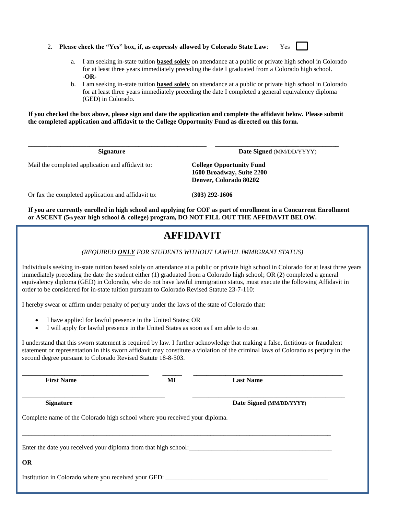- 2. **Please check the "Yes" box, if, as expressly allowed by Colorado State Law**: Yes
	-
	- a. I am seeking in-state tuition **based solely** on attendance at a public or private high school in Colorado for at least three years immediately preceding the date I graduated from a Colorado high school. -**OR-**
	- b. I am seeking in-state tuition **based solely** on attendance at a public or private high school in Colorado for at least three years immediately preceding the date I completed a general equivalency diploma (GED) in Colorado.

**If you checked the box above, please sign and date the application and complete the affidavit below. Please submit the completed application and affidavit to the College Opportunity Fund as directed on this form.**

**\_\_\_\_\_\_\_\_\_\_\_\_\_\_\_\_\_\_\_\_\_\_\_\_\_\_\_\_\_\_\_\_\_\_\_\_\_\_\_\_\_\_\_\_\_\_\_\_\_\_\_\_\_\_\_ \_\_\_\_\_\_\_\_\_\_\_\_\_\_\_\_\_\_\_\_\_\_\_\_\_\_\_\_\_\_\_\_\_\_\_\_\_\_**

**Signature** Date Signed (MM/DD/YYYY)

Mail the completed application and affidavit to: **College Opportunity Fund**

**1600 Broadway, Suite 2200 Denver, Colorado 80202**

Or fax the completed application and affidavit to: (**303) 292-1606** 

**If you are currently enrolled in high school and applying for COF as part of enrollment in a Concurrent Enrollment or ASCENT (5th year high school & college) program, DO NOT FILL OUT THE AFFIDAVIT BELOW.** 

## **AFFIDAVIT**

*(REQUIRED ONLY FOR STUDENTS WITHOUT LAWFUL IMMIGRANT STATUS)*

Individuals seeking in-state tuition based solely on attendance at a public or private high school in Colorado for at least three years immediately preceding the date the student either (1) graduated from a Colorado high school; OR (2) completed a general equivalency diploma (GED) in Colorado, who do not have lawful immigration status, must execute the following Affidavit in order to be considered for in-state tuition pursuant to Colorado Revised Statute 23-7-110:

I hereby swear or affirm under penalty of perjury under the laws of the state of Colorado that:

- I have applied for lawful presence in the United States; OR
- I will apply for lawful presence in the United States as soon as I am able to do so.

I understand that this sworn statement is required by law. I further acknowledge that making a false, fictitious or fraudulent statement or representation in this sworn affidavit may constitute a violation of the criminal laws of Colorado as perjury in the second degree pursuant to Colorado Revised Statute 18-8-503.

| <b>First Name</b>                                                          | MI | <b>Last Name</b>         |
|----------------------------------------------------------------------------|----|--------------------------|
| <b>Signature</b>                                                           |    | Date Signed (MM/DD/YYYY) |
| Complete name of the Colorado high school where you received your diploma. |    |                          |
|                                                                            |    |                          |
| Enter the date you received your diploma from that high school:            |    |                          |
| OR                                                                         |    |                          |
| Institution in Colorado where you received your GED:                       |    |                          |
|                                                                            |    |                          |